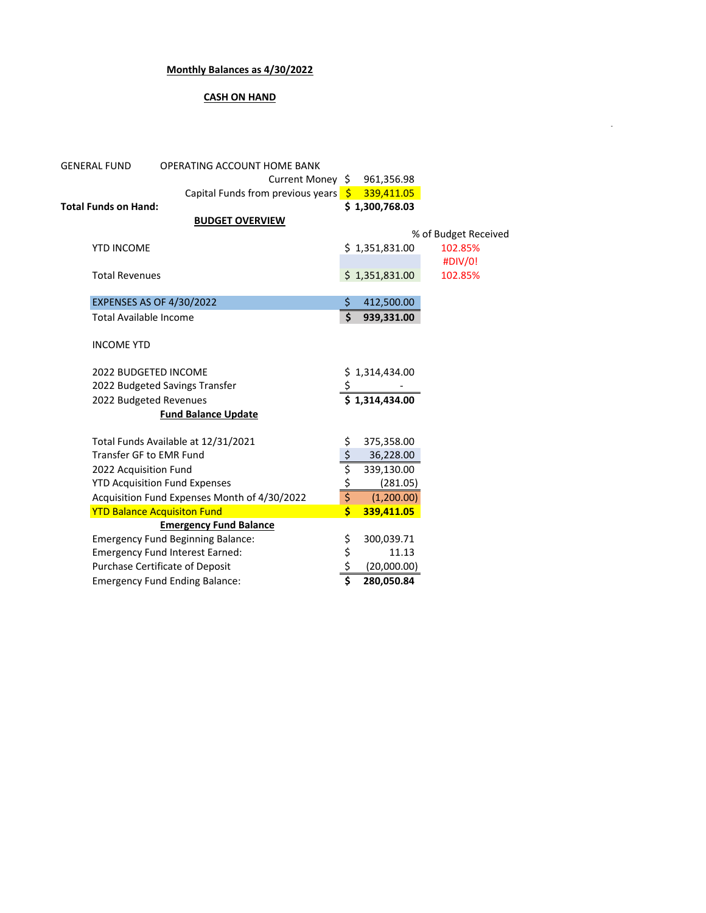## **Monthly Balances as 4/30/2022**

## **CASH ON HAND**

-

| <b>GENERAL FUND</b>           | OPERATING ACCOUNT HOME BANK                     |                                |                |                      |  |
|-------------------------------|-------------------------------------------------|--------------------------------|----------------|----------------------|--|
|                               | Current Money \$                                |                                | 961,356.98     |                      |  |
|                               | Capital Funds from previous years $\frac{1}{2}$ |                                | 339,411.05     |                      |  |
| <b>Total Funds on Hand:</b>   |                                                 |                                | \$1,300,768.03 |                      |  |
|                               | <b>BUDGET OVERVIEW</b>                          |                                |                |                      |  |
|                               |                                                 |                                |                | % of Budget Received |  |
| <b>YTD INCOME</b>             |                                                 |                                | \$1,351,831.00 | 102.85%              |  |
|                               |                                                 |                                |                | #DIV/0!              |  |
| <b>Total Revenues</b>         |                                                 |                                | \$1,351,831.00 | 102.85%              |  |
|                               |                                                 |                                |                |                      |  |
|                               | <b>EXPENSES AS OF 4/30/2022</b>                 | \$                             | 412,500.00     |                      |  |
| <b>Total Available Income</b> |                                                 | \$                             | 939,331.00     |                      |  |
|                               |                                                 |                                |                |                      |  |
| <b>INCOME YTD</b>             |                                                 |                                |                |                      |  |
|                               |                                                 |                                |                |                      |  |
| 2022 BUDGETED INCOME          |                                                 |                                | \$1,314,434.00 |                      |  |
|                               | 2022 Budgeted Savings Transfer                  |                                |                |                      |  |
| 2022 Budgeted Revenues        |                                                 |                                | \$1.314.434.00 |                      |  |
|                               | <b>Fund Balance Update</b>                      |                                |                |                      |  |
|                               | Total Funds Available at 12/31/2021             | \$                             | 375,358.00     |                      |  |
| Transfer GF to EMR Fund       |                                                 |                                | 36,228.00      |                      |  |
| 2022 Acquisition Fund         |                                                 |                                | 339,130.00     |                      |  |
|                               | <b>YTD Acquisition Fund Expenses</b>            | $\frac{1}{2}$<br>$\frac{1}{2}$ | (281.05)       |                      |  |
|                               | Acquisition Fund Expenses Month of 4/30/2022    |                                | (1,200.00)     |                      |  |
|                               | <b>YTD Balance Acquisiton Fund</b>              | Ś.                             | 339,411.05     |                      |  |
|                               | <b>Emergency Fund Balance</b>                   |                                |                |                      |  |
|                               | <b>Emergency Fund Beginning Balance:</b>        |                                | 300,039.71     |                      |  |
|                               | <b>Emergency Fund Interest Earned:</b>          | \$<br>\$<br>\$                 | 11.13          |                      |  |
|                               | Purchase Certificate of Deposit                 |                                | (20,000.00)    |                      |  |
|                               | <b>Emergency Fund Ending Balance:</b>           | \$                             | 280,050.84     |                      |  |
|                               |                                                 |                                |                |                      |  |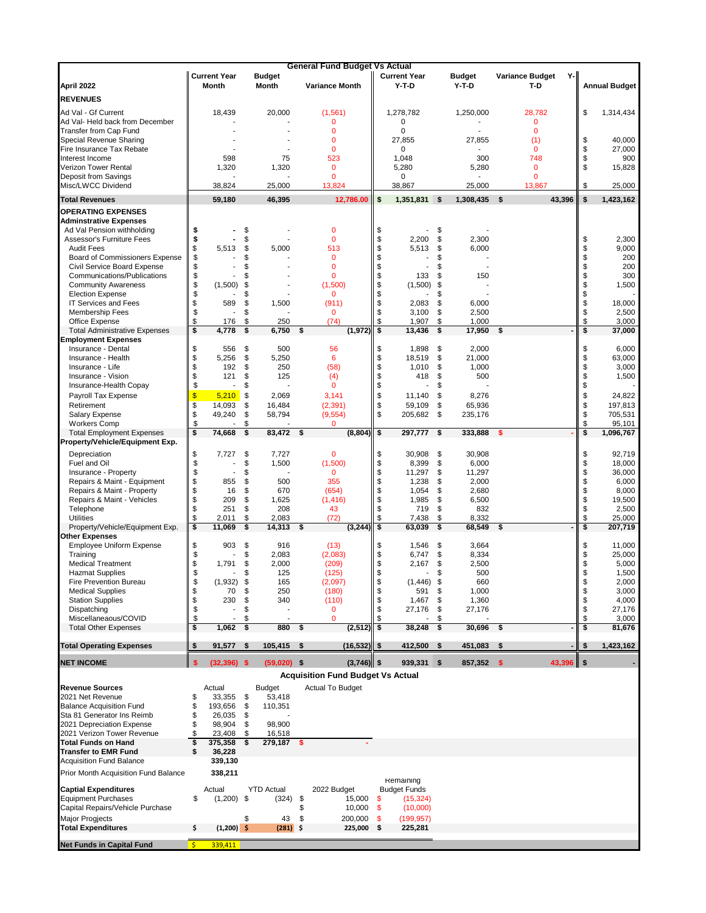|                                                                |                         |                          |                      | <b>General Fund Budget Vs Actual</b>     |                         |                         |          |                |              |                        |          |                      |
|----------------------------------------------------------------|-------------------------|--------------------------|----------------------|------------------------------------------|-------------------------|-------------------------|----------|----------------|--------------|------------------------|----------|----------------------|
|                                                                |                         | <b>Current Year</b>      | <b>Budget</b>        |                                          |                         | <b>Current Year</b>     |          | <b>Budget</b>  |              | Variance Budget<br>Y-l |          |                      |
| April 2022                                                     |                         | Month                    | Month                | <b>Variance Month</b>                    |                         | $Y-T-D$                 |          | $Y-T-D$        |              | T-D                    |          | <b>Annual Budget</b> |
| <b>REVENUES</b>                                                |                         |                          |                      |                                          |                         |                         |          |                |              |                        |          |                      |
| Ad Val - Gf Current                                            |                         | 18,439                   | 20,000               | (1,561)                                  |                         | 1,278,782               |          | 1,250,000      |              | 28,782                 | \$       | 1,314,434            |
| Ad Val- Held back from December                                |                         |                          |                      | $\mathbf 0$                              |                         | 0                       |          |                |              | $\mathbf 0$            |          |                      |
| Transfer from Cap Fund                                         |                         |                          |                      | 0                                        |                         | 0                       |          |                |              | $\mathbf{0}$           |          |                      |
| Special Revenue Sharing                                        |                         |                          |                      | $\Omega$                                 |                         | 27,855                  |          | 27,855         |              | (1)                    | \$       | 40,000               |
| Fire Insurance Tax Rebate                                      |                         |                          |                      | $\mathbf 0$                              |                         | 0                       |          |                |              | 0                      | \$       | 27,000               |
| Interest Income                                                |                         | 598                      | 75                   | 523                                      |                         | 1,048                   |          | 300            |              | 748                    | \$       | 900                  |
| <b>Verizon Tower Rental</b>                                    |                         | 1,320                    | 1,320                | $\mathbf{0}$                             |                         | 5,280                   |          | 5,280          |              | $\mathbf{0}$           | \$       | 15,828               |
| <b>Deposit from Savings</b><br>Misc/LWCC Dividend              |                         |                          |                      | $\mathbf{0}$                             |                         | 0                       |          |                |              | $\mathbf 0$            |          |                      |
|                                                                |                         | 38,824                   | 25,000               | 13,824                                   |                         | 38,867                  |          | 25,000         |              | 13,867                 | \$       | 25,000               |
| <b>Total Revenues</b>                                          |                         | 59,180                   | 46,395               | 12,786.00                                | \$                      | 1,351,831               | \$       | 1,308,435      | $\mathbf{s}$ | 43,396                 | \$       | 1,423,162            |
| <b>OPERATING EXPENSES</b>                                      |                         |                          |                      |                                          |                         |                         |          |                |              |                        |          |                      |
| <b>Adminstrative Expenses</b>                                  |                         |                          |                      |                                          |                         |                         |          |                |              |                        |          |                      |
| Ad Val Pension withholding                                     | \$                      |                          | \$                   | $\mathbf 0$                              | \$                      |                         | \$       |                |              |                        |          |                      |
| Assessor's Furniture Fees                                      | \$                      |                          | \$                   | $\mathbf{0}$                             | \$                      | 2,200                   | \$       | 2,300          |              |                        | \$       | 2,300                |
| <b>Audit Fees</b>                                              | \$                      | 5,513                    | \$<br>5,000          | 513                                      | \$                      | 5,513                   | \$       | 6,000          |              |                        | \$       | 9,000                |
| Board of Commissioners Expense                                 | \$                      |                          | \$                   | $\mathbf{0}$                             | \$                      |                         | \$       |                |              |                        | \$       | 200                  |
| Civil Service Board Expense                                    | \$                      |                          | \$                   | $\mathbf{0}$                             | \$                      |                         | \$       |                |              |                        | \$       | 200                  |
| Communications/Publications                                    | \$<br>\$                |                          | \$                   | $\mathbf{0}$                             | \$                      | 133                     | \$       | 150            |              |                        | \$       | 300                  |
| <b>Community Awareness</b><br><b>Election Expense</b>          | \$                      | (1,500)                  | \$<br>\$             | (1,500)<br>0                             | \$<br>\$                | (1,500)                 | \$<br>\$ |                |              |                        | \$<br>\$ | 1,500                |
| <b>IT Services and Fees</b>                                    | \$                      | 589                      | \$<br>1,500          | (911)                                    | \$                      | 2,083                   | \$       | 6,000          |              |                        | \$       | 18,000               |
| <b>Membership Fees</b>                                         | \$                      |                          | \$                   | $\mathbf{0}$                             | \$                      | 3,100                   | \$       | 2,500          |              |                        | \$       | 2,500                |
| Office Expense                                                 | \$                      | 176                      | \$<br>250            | (74)                                     | \$                      | 1,907                   | \$       | 1,000          |              |                        | \$       | 3,000                |
| <b>Total Administrative Expenses</b>                           | \$                      | 4,778                    | \$<br>6,750          | \$<br>(1, 972)                           | \$                      | 13.436                  | \$       | 17,950         | \$           |                        | \$       | 37,000               |
| <b>Employment Expenses</b>                                     |                         |                          |                      |                                          |                         |                         |          |                |              |                        |          |                      |
| Insurance - Dental                                             | \$                      | 556                      | \$<br>500            | 56                                       | \$                      | 1,898                   | \$       | 2,000          |              |                        | \$       | 6,000                |
| Insurance - Health                                             | \$                      | 5,256                    | \$<br>5,250          | 6                                        | \$                      | 18,519                  | \$       | 21,000         |              |                        | \$       | 63,000               |
| Insurance - Life                                               | \$                      | 192                      | \$<br>250            | (58)                                     | \$                      | 1,010                   | \$       | 1,000          |              |                        | \$       | 3,000                |
| Insurance - Vision                                             | \$                      | 121                      | \$<br>125            | (4)                                      | \$                      | 418                     | \$       | 500            |              |                        | \$       | 1,500                |
| Insurance-Health Copay                                         | \$                      | $\overline{\phantom{a}}$ | \$                   | $\mathbf{0}$                             | \$                      |                         | \$       |                |              |                        | \$       |                      |
| Payroll Tax Expense                                            | \$                      | 5,210                    | \$<br>2,069          | 3,141                                    | \$                      | 11,140                  | \$       | 8,276          |              |                        | \$       | 24,822               |
| Retirement                                                     | \$                      | 14,093                   | \$<br>16,484         | (2, 391)                                 | \$                      | 59,109                  | \$       | 65,936         |              |                        | \$       | 197,813              |
| <b>Salary Expense</b>                                          | \$                      | 49,240                   | \$<br>58,794         | (9, 554)                                 | \$                      | 205,682                 | \$       | 235,176        |              |                        | \$       | 705,531              |
| <b>Workers Comp</b>                                            | \$                      |                          | \$                   | 0                                        |                         |                         |          |                |              |                        | \$       | 95,101               |
| <b>Total Employment Expenses</b>                               | \$                      | 74,668                   | \$<br>83,472         | \$<br>(8, 804)                           | \$                      | 297,777                 | \$       | 333,888        |              |                        | \$       | 1,096,767            |
| Property/Vehicle/Equipment Exp.                                |                         |                          |                      |                                          |                         |                         |          |                |              |                        |          |                      |
| Depreciation                                                   | \$                      | 7,727                    | \$<br>7,727          | $\mathbf{0}$                             | \$                      | 30,908                  | \$       | 30,908         |              |                        | \$       | 92,719               |
| Fuel and Oil                                                   | \$                      |                          | \$<br>1,500          | (1,500)                                  | \$                      | 8,399                   | \$       | 6,000          |              |                        | \$       | 18,000               |
| Insurance - Property                                           | \$                      |                          | \$                   | 0                                        | \$                      | 11,297                  | \$       | 11,297         |              |                        | \$       | 36,000               |
| Repairs & Maint - Equipment                                    | \$                      | 855                      | \$<br>500            | 355                                      | \$                      | 1,238                   | \$       | 2,000          |              |                        | \$       | 6,000                |
| Repairs & Maint - Property                                     | \$                      | 16                       | \$<br>670            | (654)                                    | \$                      | 1,054                   | \$       | 2,680          |              |                        | \$       | 8,000                |
| Repairs & Maint - Vehicles                                     | \$                      | 209                      | \$<br>1,625          | (1, 416)                                 | \$                      | 1,985                   | \$       | 6,500          |              |                        | \$       | 19,500               |
| Telephone                                                      | \$                      | 251                      | \$<br>208            | 43                                       | \$                      | 719                     | \$       | 832            |              |                        | \$       | 2,500                |
| Utilities                                                      | \$                      | 2,011                    | \$<br>2,083          | (72)                                     | \$                      | 7,438                   | \$       | 8,332          |              |                        | \$       | 25,000               |
| Property/Vehicle/Equipment Exp.                                | \$                      | 11.069                   | \$<br>14,313         | \$<br>(3, 244)                           | $\overline{\mathbf{s}}$ | 63,039                  | \$       | 68,549         | - \$         |                        | \$       | 207,719              |
| <b>Other Expenses</b>                                          |                         |                          |                      |                                          |                         |                         |          |                |              |                        |          |                      |
| <b>Employee Uniform Expense</b>                                | \$<br>\$                | 903                      | \$<br>916<br>\$      | (13)                                     | \$<br>\$                | 1,546                   | \$<br>\$ | 3,664          |              |                        | \$<br>\$ | 11,000<br>25,000     |
| Training<br><b>Medical Treatment</b>                           | \$                      | 1,791                    | 2,083<br>\$<br>2,000 | (2,083)<br>(209)                         | \$                      | 6,747                   | \$       | 8,334<br>2,500 |              |                        | \$       | 5,000                |
| <b>Hazmat Supplies</b>                                         | \$                      |                          | \$<br>125            | (125)                                    | \$                      | 2,167<br>$\overline{a}$ | \$       | 500            |              |                        | \$       | 1,500                |
| <b>Fire Prevention Bureau</b>                                  | \$                      | $(1,932)$ \$             | 165                  | (2,097)                                  | \$                      | $(1,446)$ \$            |          | 660            |              |                        | \$       | 2,000                |
| <b>Medical Supplies</b>                                        | \$                      | 70                       | \$<br>250            | (180)                                    | \$                      | 591                     | \$       | 1,000          |              |                        | \$       | 3,000                |
| <b>Station Supplies</b>                                        | \$                      | 230                      | 340<br>\$            | (110)                                    | \$                      | 1,467                   | \$       | 1,360          |              |                        | \$       | 4,000                |
| Dispatching                                                    | \$                      |                          | \$                   | 0                                        | \$                      | 27,176                  | \$       | 27,176         |              |                        | \$       | 27,176               |
| Miscellaneaous/COVID                                           | \$                      |                          | \$                   | $\mathbf{0}$                             | \$                      |                         | \$       |                |              |                        | \$       | 3,000                |
| <b>Total Other Expenses</b>                                    | \$                      | 1,062                    | -\$<br>880           | \$<br>(2, 512)                           | \$                      | 38,248                  | \$       | 30,696         | - \$         |                        | \$       | 81,676               |
|                                                                |                         |                          |                      |                                          |                         |                         |          |                |              |                        |          |                      |
| <b>Total Operating Expenses</b>                                | S                       | $91,577$ \$              | 105,415              | \$<br>$(16,532)$ \$                      |                         | 412,500                 | \$       | 451,083        | - \$         |                        | \$       | 1,423,162            |
| <b>NET INCOME</b>                                              | <b>S</b>                | $(32, 396)$ \$           | $(59,020)$ \$        | $(3,746)$ \$                             |                         | 939,331                 | \$       | 857,352 \$     |              | $43,396$ \$            |          |                      |
|                                                                |                         |                          |                      |                                          |                         |                         |          |                |              |                        |          |                      |
|                                                                |                         |                          |                      | <b>Acquisition Fund Budget Vs Actual</b> |                         |                         |          |                |              |                        |          |                      |
| <b>Revenue Sources</b>                                         |                         | Actual                   | <b>Budget</b>        | <b>Actual To Budget</b>                  |                         |                         |          |                |              |                        |          |                      |
| 2021 Net Revenue                                               | \$                      | 33,355                   | \$<br>53,418         |                                          |                         |                         |          |                |              |                        |          |                      |
| <b>Balance Acquisition Fund</b>                                | \$                      | 193,656                  | \$<br>110,351        |                                          |                         |                         |          |                |              |                        |          |                      |
| Sta 81 Generator Ins Reimb                                     | \$                      | 26,035                   | \$                   |                                          |                         |                         |          |                |              |                        |          |                      |
| 2021 Depreciation Expense                                      | \$                      | 98,904                   | 98,900<br>\$         |                                          |                         |                         |          |                |              |                        |          |                      |
| 2021 Verizon Tower Revenue                                     | \$                      | 23,408                   | 16,518<br>\$         |                                          |                         |                         |          |                |              |                        |          |                      |
| <b>Total Funds on Hand</b>                                     | \$                      | 375,358                  | 279,187<br>\$        | \$                                       |                         |                         |          |                |              |                        |          |                      |
| <b>Transfer to EMR Fund</b><br><b>Acquisition Fund Balance</b> | \$                      | 36,228<br>339,130        |                      |                                          |                         |                         |          |                |              |                        |          |                      |
|                                                                |                         |                          |                      |                                          |                         |                         |          |                |              |                        |          |                      |
| Prior Month Acquisition Fund Balance                           |                         | 338,211                  |                      |                                          |                         | Remaining               |          |                |              |                        |          |                      |
| <b>Captial Expenditures</b>                                    |                         | Actual                   | <b>YTD Actual</b>    | 2022 Budget                              |                         | <b>Budget Funds</b>     |          |                |              |                        |          |                      |
| <b>Equipment Purchases</b>                                     | \$                      | $(1,200)$ \$             | (324)                | \$<br>15,000                             | \$                      | (15, 324)               |          |                |              |                        |          |                      |
| Capital Repairs/Vehicle Purchase                               |                         |                          |                      | \$<br>10,000                             | \$                      | (10,000)                |          |                |              |                        |          |                      |
| Major Progjects                                                |                         |                          | \$<br>43             | \$<br>200,000                            | \$                      | (199, 957)              |          |                |              |                        |          |                      |
| <b>Total Expenditures</b>                                      | \$                      | $(1,200)$ \$             | $(281)$ \$           | 225,000 \$                               |                         | 225,281                 |          |                |              |                        |          |                      |
|                                                                |                         |                          |                      |                                          |                         |                         |          |                |              |                        |          |                      |
| <b>Net Funds in Capital Fund</b>                               | $\overline{\mathsf{S}}$ | 339,411                  |                      |                                          |                         |                         |          |                |              |                        |          |                      |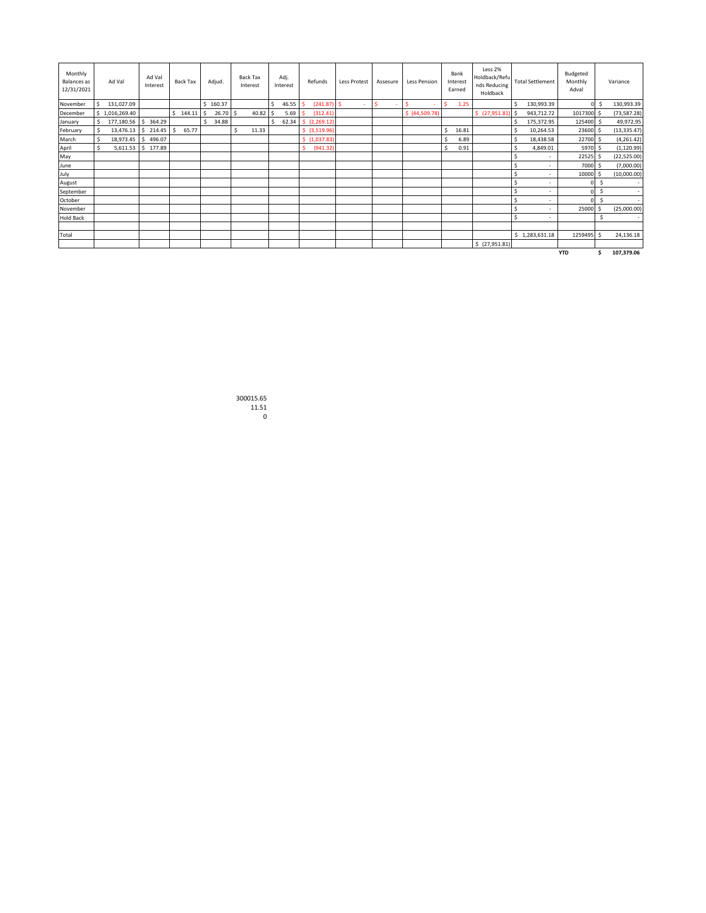| Monthly<br>Balances as<br>12/31/2021 |    | Ad Val               | Ad Val<br>Interest  | Back Tax    | Adjud. |            | <b>Back Tax</b><br>Interest |    | Adj.<br>Interest | Refunds                             | Less Protest | Assesure | Less Pension   | Bank<br>Interest<br>Earned | Less 2%<br>Holdback/Refu<br>nds Reducing<br>Holdback |    | <b>Total Settlement</b>  | Budgeted<br>Monthly<br>Adval |                | Variance     |
|--------------------------------------|----|----------------------|---------------------|-------------|--------|------------|-----------------------------|----|------------------|-------------------------------------|--------------|----------|----------------|----------------------------|------------------------------------------------------|----|--------------------------|------------------------------|----------------|--------------|
| November                             |    | 131,027.09           |                     |             |        | 160.37     |                             | \$ | 46.55            | (241.87)                            | <b>S</b>     | Ś<br>٠   | S<br>٠         | 1.25                       |                                                      | Ŝ. | 130,993.39               |                              | 0 <sup>1</sup> | 130,993.39   |
| December                             |    | \$1,016,269.40       |                     | \$144.11    | Ŝ.     | $26.70$ \$ | $40.82$ \$                  |    | 5.69             | (312.41)                            |              |          | \$ (44,509.78) |                            | \$ (27,951.81) \$                                    |    | 943,712.72               | 1017300 \$                   |                | (73, 587.28) |
| January                              | Ŝ. | 177,180.56 \$ 364.29 |                     |             |        | 34.88      |                             | Ŝ. |                  | $62.34$ $\binom{6}{2}$ $(2,269.12)$ |              |          |                |                            |                                                      |    | 175,372.95               | 125400 \$                    |                | 49,972.95    |
| February                             | Ŝ. |                      | 13,476.13 \$ 214.45 | 65.77<br>-Ŝ |        |            | 11.33<br>Ŝ.                 |    |                  | \$ (3,519.96)                       |              |          |                | 16.81                      |                                                      | Ŝ  | 10,264.53                | 23600 \$                     |                | (13, 335.47) |
| March                                | \$ |                      | 18,973.45 \$ 496.07 |             |        |            |                             |    |                  | \$(1,037.83)                        |              |          |                | 6.89                       |                                                      | Ŝ. | 18,438.58                | 22700 \$                     |                | (4,261.42)   |
| April                                | Ŝ. |                      | 5,611.53 \$ 177.89  |             |        |            |                             |    |                  | (941.32)                            |              |          |                | 0.91                       |                                                      | ¢  | 4,849.01                 | 5970 \$                      |                | (1, 120.99)  |
| May                                  |    |                      |                     |             |        |            |                             |    |                  |                                     |              |          |                |                            |                                                      |    | $\sim$                   | 22525 \$                     |                | (22, 525.00) |
| June                                 |    |                      |                     |             |        |            |                             |    |                  |                                     |              |          |                |                            |                                                      | Ŝ  | $\overline{\phantom{a}}$ | 7000 \$                      |                | (7,000.00)   |
| July                                 |    |                      |                     |             |        |            |                             |    |                  |                                     |              |          |                |                            |                                                      | Ś  |                          | 10000 \$                     |                | (10,000.00)  |
| August                               |    |                      |                     |             |        |            |                             |    |                  |                                     |              |          |                |                            |                                                      | Ś  | ٠                        |                              | Ś              | $\sim$       |
| September                            |    |                      |                     |             |        |            |                             |    |                  |                                     |              |          |                |                            |                                                      |    | ٠                        |                              | Ś              | $\sim$       |
| October                              |    |                      |                     |             |        |            |                             |    |                  |                                     |              |          |                |                            |                                                      | Ś  |                          |                              | Ś              |              |
| November                             |    |                      |                     |             |        |            |                             |    |                  |                                     |              |          |                |                            |                                                      | Ś  | $\sim$                   | 25000 \$                     |                | (25,000.00)  |
| <b>Hold Back</b>                     |    |                      |                     |             |        |            |                             |    |                  |                                     |              |          |                |                            |                                                      |    | $\sim$                   |                              |                | $\sim$       |
|                                      |    |                      |                     |             |        |            |                             |    |                  |                                     |              |          |                |                            |                                                      |    |                          |                              |                |              |
| Total                                |    |                      |                     |             |        |            |                             |    |                  |                                     |              |          |                |                            |                                                      |    | \$1,283,631.18           | 1259495 \$                   |                | 24,136.18    |
|                                      |    |                      |                     |             |        |            |                             |    |                  |                                     |              |          |                |                            | \$ (27,951.81)                                       |    |                          |                              |                |              |
|                                      |    |                      |                     |             |        |            |                             |    |                  |                                     |              |          |                |                            |                                                      |    |                          | <b>YTD</b>                   |                | 107,379.06   |

300015.65 11.51 0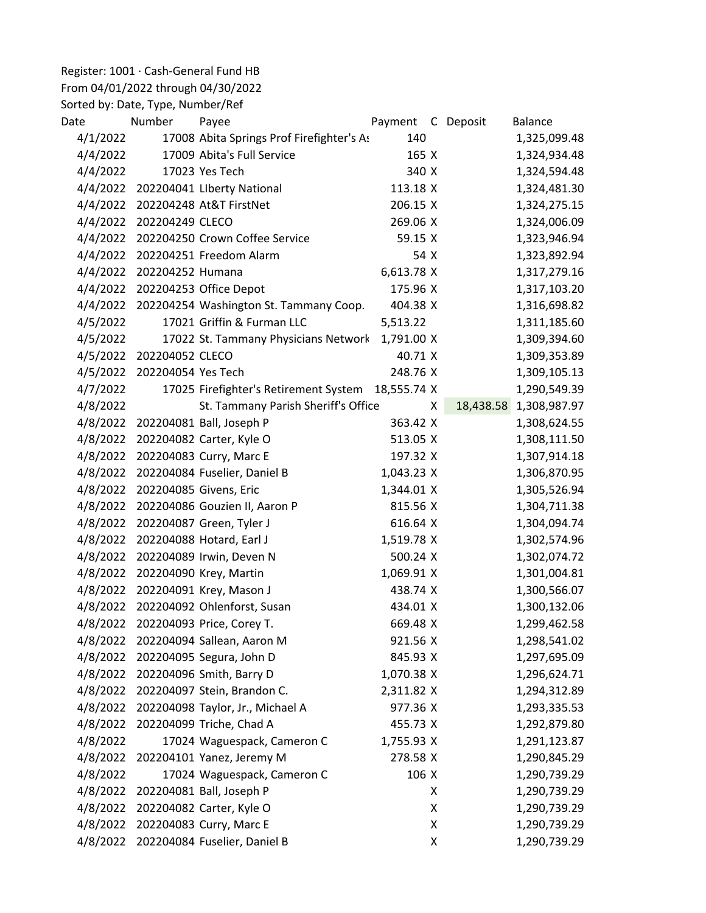## Register: 1001 · Cash-General Fund HB

## From 04/01/2022 through 04/30/2022

Sorted by: Date, Type, Number/Ref

| Date     | Number             | Payee                                     | Payment     |   | C Deposit | <b>Balance</b> |
|----------|--------------------|-------------------------------------------|-------------|---|-----------|----------------|
| 4/1/2022 |                    | 17008 Abita Springs Prof Firefighter's As | 140         |   |           | 1,325,099.48   |
| 4/4/2022 |                    | 17009 Abita's Full Service                | 165 X       |   |           | 1,324,934.48   |
| 4/4/2022 |                    | 17023 Yes Tech                            | 340 X       |   |           | 1,324,594.48   |
| 4/4/2022 |                    | 202204041 Liberty National                | 113.18 X    |   |           | 1,324,481.30   |
| 4/4/2022 |                    | 202204248 At&T FirstNet                   | 206.15 X    |   |           | 1,324,275.15   |
| 4/4/2022 | 202204249 CLECO    |                                           | 269.06 X    |   |           | 1,324,006.09   |
| 4/4/2022 |                    | 202204250 Crown Coffee Service            | 59.15 X     |   |           | 1,323,946.94   |
| 4/4/2022 |                    | 202204251 Freedom Alarm                   | 54 X        |   |           | 1,323,892.94   |
| 4/4/2022 | 202204252 Humana   |                                           | 6,613.78 X  |   |           | 1,317,279.16   |
| 4/4/2022 |                    | 202204253 Office Depot                    | 175.96 X    |   |           | 1,317,103.20   |
| 4/4/2022 |                    | 202204254 Washington St. Tammany Coop.    | 404.38 X    |   |           | 1,316,698.82   |
| 4/5/2022 |                    | 17021 Griffin & Furman LLC                | 5,513.22    |   |           | 1,311,185.60   |
| 4/5/2022 |                    | 17022 St. Tammany Physicians Network      | 1,791.00 X  |   |           | 1,309,394.60   |
| 4/5/2022 | 202204052 CLECO    |                                           | 40.71 X     |   |           | 1,309,353.89   |
| 4/5/2022 | 202204054 Yes Tech |                                           | 248.76 X    |   |           | 1,309,105.13   |
| 4/7/2022 |                    | 17025 Firefighter's Retirement System     | 18,555.74 X |   |           | 1,290,549.39   |
| 4/8/2022 |                    | St. Tammany Parish Sheriff's Office       |             | X | 18,438.58 | 1,308,987.97   |
| 4/8/2022 |                    | 202204081 Ball, Joseph P                  | 363.42 X    |   |           | 1,308,624.55   |
| 4/8/2022 |                    | 202204082 Carter, Kyle O                  | 513.05 X    |   |           | 1,308,111.50   |
| 4/8/2022 |                    | 202204083 Curry, Marc E                   | 197.32 X    |   |           | 1,307,914.18   |
| 4/8/2022 |                    | 202204084 Fuselier, Daniel B              | 1,043.23 X  |   |           | 1,306,870.95   |
| 4/8/2022 |                    | 202204085 Givens, Eric                    | 1,344.01 X  |   |           | 1,305,526.94   |
| 4/8/2022 |                    | 202204086 Gouzien II, Aaron P             | 815.56 X    |   |           | 1,304,711.38   |
| 4/8/2022 |                    | 202204087 Green, Tyler J                  | 616.64 X    |   |           | 1,304,094.74   |
| 4/8/2022 |                    | 202204088 Hotard, Earl J                  | 1,519.78 X  |   |           | 1,302,574.96   |
| 4/8/2022 |                    | 202204089 Irwin, Deven N                  | 500.24 X    |   |           | 1,302,074.72   |
| 4/8/2022 |                    | 202204090 Krey, Martin                    | 1,069.91 X  |   |           | 1,301,004.81   |
| 4/8/2022 |                    | 202204091 Krey, Mason J                   | 438.74 X    |   |           | 1,300,566.07   |
| 4/8/2022 |                    | 202204092 Ohlenforst, Susan               | 434.01 X    |   |           | 1,300,132.06   |
| 4/8/2022 |                    | 202204093 Price, Corey T.                 | 669.48 X    |   |           | 1,299,462.58   |
| 4/8/2022 |                    | 202204094 Sallean, Aaron M                | 921.56 X    |   |           | 1,298,541.02   |
| 4/8/2022 |                    | 202204095 Segura, John D                  | 845.93 X    |   |           | 1,297,695.09   |
| 4/8/2022 |                    | 202204096 Smith, Barry D                  | 1,070.38 X  |   |           | 1,296,624.71   |
| 4/8/2022 |                    | 202204097 Stein, Brandon C.               | 2,311.82 X  |   |           | 1,294,312.89   |
| 4/8/2022 |                    | 202204098 Taylor, Jr., Michael A          | 977.36 X    |   |           | 1,293,335.53   |
| 4/8/2022 |                    | 202204099 Triche, Chad A                  | 455.73 X    |   |           | 1,292,879.80   |
| 4/8/2022 |                    | 17024 Waguespack, Cameron C               | 1,755.93 X  |   |           | 1,291,123.87   |
| 4/8/2022 |                    | 202204101 Yanez, Jeremy M                 | 278.58 X    |   |           | 1,290,845.29   |
| 4/8/2022 |                    | 17024 Waguespack, Cameron C               | 106 X       |   |           | 1,290,739.29   |
| 4/8/2022 |                    | 202204081 Ball, Joseph P                  |             | X |           | 1,290,739.29   |
| 4/8/2022 |                    | 202204082 Carter, Kyle O                  |             | X |           | 1,290,739.29   |
| 4/8/2022 |                    | 202204083 Curry, Marc E                   |             | X |           | 1,290,739.29   |
| 4/8/2022 |                    | 202204084 Fuselier, Daniel B              |             | X |           | 1,290,739.29   |
|          |                    |                                           |             |   |           |                |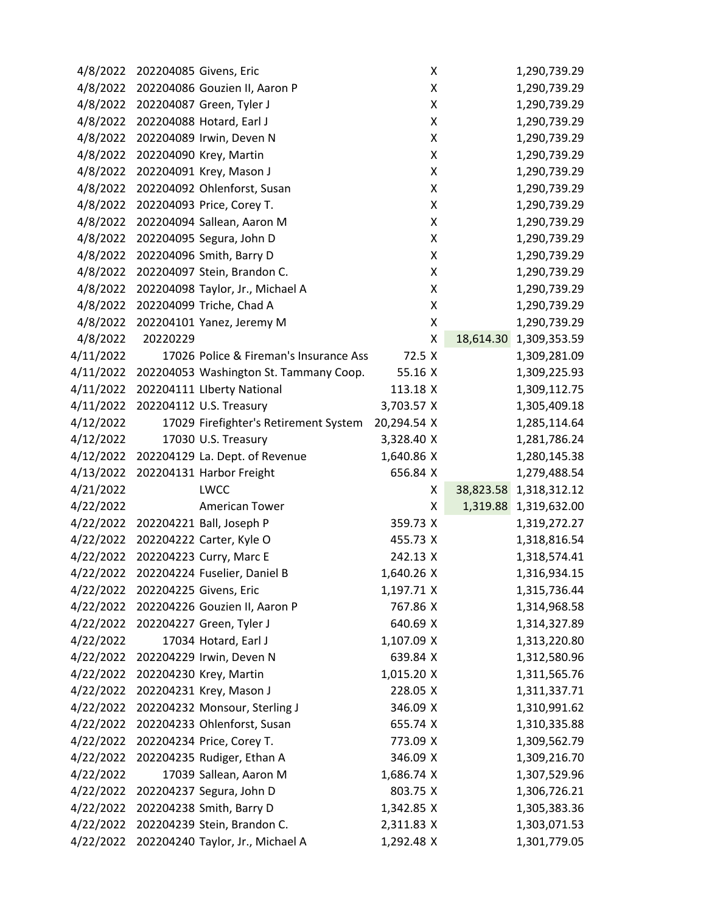| 4/8/2022  |          | 202204085 Givens, Eric                 | X           |           | 1,290,739.29 |
|-----------|----------|----------------------------------------|-------------|-----------|--------------|
| 4/8/2022  |          | 202204086 Gouzien II, Aaron P          | Χ           |           | 1,290,739.29 |
| 4/8/2022  |          | 202204087 Green, Tyler J               | Χ           |           | 1,290,739.29 |
| 4/8/2022  |          | 202204088 Hotard, Earl J               | X           |           | 1,290,739.29 |
| 4/8/2022  |          | 202204089 Irwin, Deven N               | X           |           | 1,290,739.29 |
| 4/8/2022  |          | 202204090 Krey, Martin                 | Χ           |           | 1,290,739.29 |
| 4/8/2022  |          | 202204091 Krey, Mason J                | Χ           |           | 1,290,739.29 |
| 4/8/2022  |          | 202204092 Ohlenforst, Susan            | Χ           |           | 1,290,739.29 |
| 4/8/2022  |          | 202204093 Price, Corey T.              | Χ           |           | 1,290,739.29 |
| 4/8/2022  |          | 202204094 Sallean, Aaron M             | X           |           | 1,290,739.29 |
| 4/8/2022  |          | 202204095 Segura, John D               | X           |           | 1,290,739.29 |
| 4/8/2022  |          | 202204096 Smith, Barry D               | X           |           | 1,290,739.29 |
| 4/8/2022  |          | 202204097 Stein, Brandon C.            | X           |           | 1,290,739.29 |
| 4/8/2022  |          | 202204098 Taylor, Jr., Michael A       | X           |           | 1,290,739.29 |
| 4/8/2022  |          | 202204099 Triche, Chad A               | X           |           | 1,290,739.29 |
| 4/8/2022  |          | 202204101 Yanez, Jeremy M              | Χ           |           | 1,290,739.29 |
| 4/8/2022  | 20220229 |                                        | X           | 18,614.30 | 1,309,353.59 |
| 4/11/2022 |          | 17026 Police & Fireman's Insurance Ass | 72.5 X      |           | 1,309,281.09 |
| 4/11/2022 |          | 202204053 Washington St. Tammany Coop. | 55.16 X     |           | 1,309,225.93 |
| 4/11/2022 |          | 202204111 LIberty National             | 113.18 X    |           | 1,309,112.75 |
| 4/11/2022 |          | 202204112 U.S. Treasury                | 3,703.57 X  |           | 1,305,409.18 |
| 4/12/2022 |          | 17029 Firefighter's Retirement System  | 20,294.54 X |           | 1,285,114.64 |
| 4/12/2022 |          | 17030 U.S. Treasury                    | 3,328.40 X  |           | 1,281,786.24 |
| 4/12/2022 |          | 202204129 La. Dept. of Revenue         | 1,640.86 X  |           | 1,280,145.38 |
| 4/13/2022 |          | 202204131 Harbor Freight               | 656.84 X    |           | 1,279,488.54 |
| 4/21/2022 |          | LWCC                                   | X           | 38,823.58 | 1,318,312.12 |
| 4/22/2022 |          | <b>American Tower</b>                  | X           | 1,319.88  | 1,319,632.00 |
| 4/22/2022 |          | 202204221 Ball, Joseph P               | 359.73 X    |           | 1,319,272.27 |
| 4/22/2022 |          | 202204222 Carter, Kyle O               | 455.73 X    |           | 1,318,816.54 |
| 4/22/2022 |          | 202204223 Curry, Marc E                | 242.13 X    |           | 1,318,574.41 |
| 4/22/2022 |          | 202204224 Fuselier, Daniel B           | 1,640.26 X  |           | 1,316,934.15 |
| 4/22/2022 |          | 202204225 Givens, Eric                 | 1,197.71 X  |           | 1,315,736.44 |
| 4/22/2022 |          | 202204226 Gouzien II, Aaron P          | 767.86 X    |           | 1,314,968.58 |
| 4/22/2022 |          | 202204227 Green, Tyler J               | 640.69 X    |           | 1,314,327.89 |
| 4/22/2022 |          | 17034 Hotard, Earl J                   | 1,107.09 X  |           | 1,313,220.80 |
| 4/22/2022 |          | 202204229 Irwin, Deven N               | 639.84 X    |           | 1,312,580.96 |
| 4/22/2022 |          | 202204230 Krey, Martin                 | 1,015.20 X  |           | 1,311,565.76 |
| 4/22/2022 |          | 202204231 Krey, Mason J                | 228.05 X    |           | 1,311,337.71 |
| 4/22/2022 |          | 202204232 Monsour, Sterling J          | 346.09 X    |           | 1,310,991.62 |
| 4/22/2022 |          | 202204233 Ohlenforst, Susan            | 655.74 X    |           | 1,310,335.88 |
| 4/22/2022 |          | 202204234 Price, Corey T.              | 773.09 X    |           | 1,309,562.79 |
| 4/22/2022 |          | 202204235 Rudiger, Ethan A             | 346.09 X    |           | 1,309,216.70 |
| 4/22/2022 |          | 17039 Sallean, Aaron M                 | 1,686.74 X  |           | 1,307,529.96 |
| 4/22/2022 |          | 202204237 Segura, John D               | 803.75 X    |           | 1,306,726.21 |
| 4/22/2022 |          | 202204238 Smith, Barry D               | 1,342.85 X  |           | 1,305,383.36 |
| 4/22/2022 |          | 202204239 Stein, Brandon C.            | 2,311.83 X  |           | 1,303,071.53 |
| 4/22/2022 |          | 202204240 Taylor, Jr., Michael A       | 1,292.48 X  |           | 1,301,779.05 |